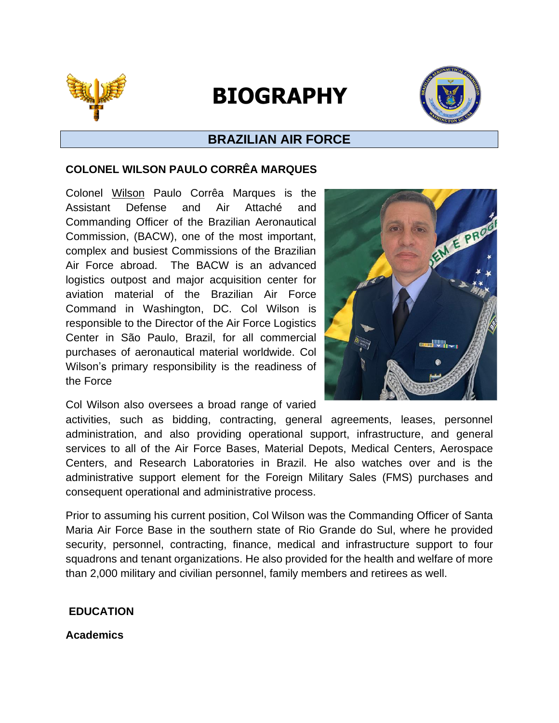

# **BIOGRAPHY**



# **BRAZILIAN AIR FORCE**

### **COLONEL WILSON PAULO CORRÊA MARQUES**

Colonel Wilson Paulo Corrêa Marques is the Assistant Defense and Air Attaché and Commanding Officer of the Brazilian Aeronautical Commission, (BACW), one of the most important, complex and busiest Commissions of the Brazilian Air Force abroad. The BACW is an advanced logistics outpost and major acquisition center for aviation material of the Brazilian Air Force Command in Washington, DC. Col Wilson is responsible to the Director of the Air Force Logistics Center in São Paulo, Brazil, for all commercial purchases of aeronautical material worldwide. Col Wilson's primary responsibility is the readiness of the Force

Col Wilson also oversees a broad range of varied



activities, such as bidding, contracting, general agreements, leases, personnel administration, and also providing operational support, infrastructure, and general services to all of the Air Force Bases, Material Depots, Medical Centers, Aerospace Centers, and Research Laboratories in Brazil. He also watches over and is the administrative support element for the Foreign Military Sales (FMS) purchases and consequent operational and administrative process.

Prior to assuming his current position, Col Wilson was the Commanding Officer of Santa Maria Air Force Base in the southern state of Rio Grande do Sul, where he provided security, personnel, contracting, finance, medical and infrastructure support to four squadrons and tenant organizations. He also provided for the health and welfare of more than 2,000 military and civilian personnel, family members and retirees as well.

# **EDUCATION**

**Academics**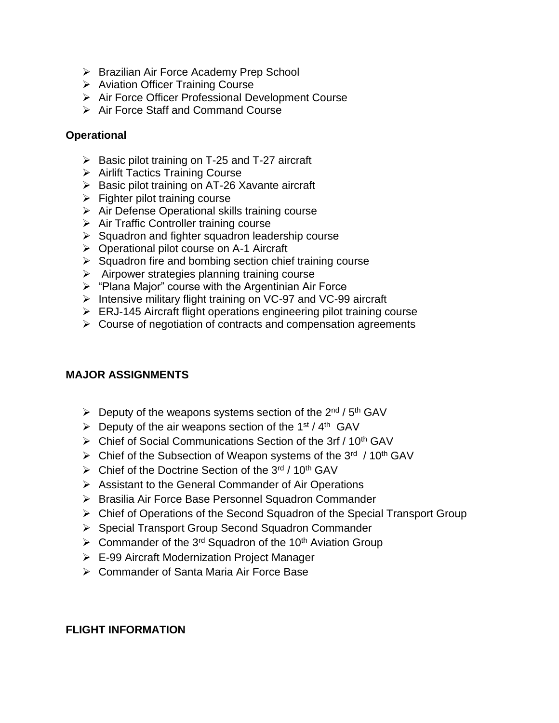- ➢ Brazilian Air Force Academy Prep School
- ➢ Aviation Officer Training Course
- ➢ Air Force Officer Professional Development Course
- ➢ Air Force Staff and Command Course

#### **Operational**

- $\triangleright$  Basic pilot training on T-25 and T-27 aircraft
- ➢ Airlift Tactics Training Course
- ➢ Basic pilot training on AT-26 Xavante aircraft
- $\triangleright$  Fighter pilot training course
- ➢ Air Defense Operational skills training course
- ➢ Air Traffic Controller training course
- ➢ Squadron and fighter squadron leadership course
- ➢ Operational pilot course on A-1 Aircraft
- $\triangleright$  Squadron fire and bombing section chief training course
- ➢ Airpower strategies planning training course
- ➢ "Plana Major" course with the Argentinian Air Force
- ➢ Intensive military flight training on VC-97 and VC-99 aircraft
- ➢ ERJ-145 Aircraft flight operations engineering pilot training course
- ➢ Course of negotiation of contracts and compensation agreements

# **MAJOR ASSIGNMENTS**

- $\triangleright$  Deputy of the weapons systems section of the 2<sup>nd</sup> / 5<sup>th</sup> GAV
- $\triangleright$  Deputy of the air weapons section of the 1<sup>st</sup> / 4<sup>th</sup> GAV
- $\triangleright$  Chief of Social Communications Section of the 3rf / 10<sup>th</sup> GAV
- ▶ Chief of the Subsection of Weapon systems of the 3<sup>rd</sup> / 10<sup>th</sup> GAV
- ➢ Chief of the Doctrine Section of the 3rd / 10th GAV
- ➢ Assistant to the General Commander of Air Operations
- ➢ Brasilia Air Force Base Personnel Squadron Commander
- ➢ Chief of Operations of the Second Squadron of the Special Transport Group
- ➢ Special Transport Group Second Squadron Commander
- $\geq$  Commander of the 3<sup>rd</sup> Squadron of the 10<sup>th</sup> Aviation Group
- ➢ E-99 Aircraft Modernization Project Manager
- ➢ Commander of Santa Maria Air Force Base

# **FLIGHT INFORMATION**